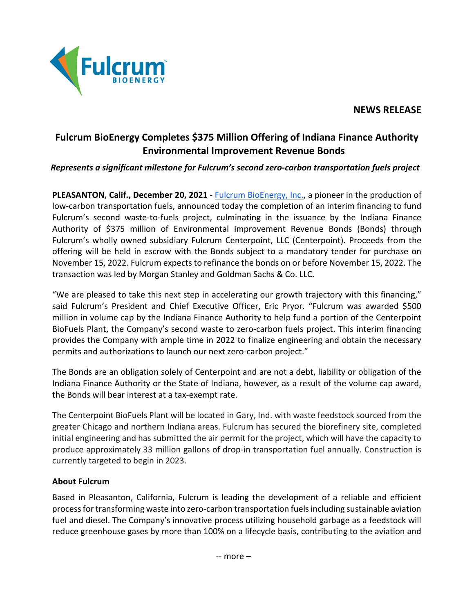## **NEWS RELEASE**



## **Fulcrum BioEnergy Completes \$375 Million Offering of Indiana Finance Authority Environmental Improvement Revenue Bonds**

## *Represents a significant milestone for Fulcrum's second zero-carbon transportation fuels project*

**PLEASANTON, Calif., December 20, 2021** - [Fulcrum BioEnergy, Inc.,](http://fulcrum-bioenergy.com/) a pioneer in the production of low-carbon transportation fuels, announced today the completion of an interim financing to fund Fulcrum's second waste-to-fuels project, culminating in the issuance by the Indiana Finance Authority of \$375 million of Environmental Improvement Revenue Bonds (Bonds) through Fulcrum's wholly owned subsidiary Fulcrum Centerpoint, LLC (Centerpoint). Proceeds from the offering will be held in escrow with the Bonds subject to a mandatory tender for purchase on November 15, 2022. Fulcrum expects to refinance the bonds on or before November 15, 2022. The transaction was led by Morgan Stanley and Goldman Sachs & Co. LLC.

"We are pleased to take this next step in accelerating our growth trajectory with this financing," said Fulcrum's President and Chief Executive Officer, Eric Pryor. "Fulcrum was awarded \$500 million in volume cap by the Indiana Finance Authority to help fund a portion of the Centerpoint BioFuels Plant, the Company's second waste to zero-carbon fuels project. This interim financing provides the Company with ample time in 2022 to finalize engineering and obtain the necessary permits and authorizations to launch our next zero-carbon project."

The Bonds are an obligation solely of Centerpoint and are not a debt, liability or obligation of the Indiana Finance Authority or the State of Indiana, however, as a result of the volume cap award, the Bonds will bear interest at a tax-exempt rate.

The Centerpoint BioFuels Plant will be located in Gary, Ind. with waste feedstock sourced from the greater Chicago and northern Indiana areas. Fulcrum has secured the biorefinery site, completed initial engineering and has submitted the air permit for the project, which will have the capacity to produce approximately 33 million gallons of drop-in transportation fuel annually. Construction is currently targeted to begin in 2023.

## **About Fulcrum**

Based in Pleasanton, California, Fulcrum is leading the development of a reliable and efficient process for transforming waste into zero-carbon transportation fuels including sustainable aviation fuel and diesel. The Company's innovative process utilizing household garbage as a feedstock will reduce greenhouse gases by more than 100% on a lifecycle basis, contributing to the aviation and